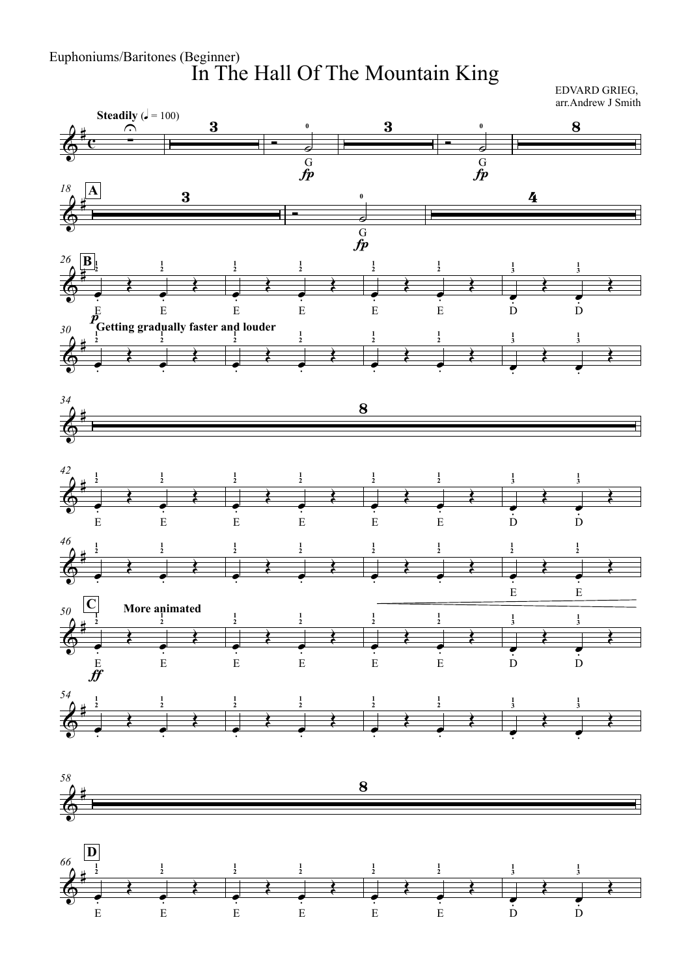Euphoniums/Baritones (Beginner) In The Hall Of The Mountain King

EDVARD GRIEG, arr.Andrew J Smith